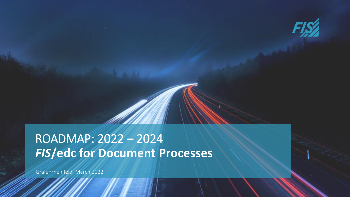

# *FIS***/edc for Document Processes** ROADMAP: 2022 – 2024

Grafenrheinfeld, March 2022.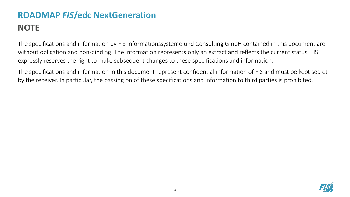### The specifications and information by FIS Informationssysteme und Consulting GmbH contained in this document are without obligation and non-binding. The information represents only an extract and reflects the current status. FIS expressly reserves the right to make subsequent changes to these specifications and information.

The specifications and information in this document represent confidential information of FIS and must be kept secret by the receiver. In particular, the passing on of these specifications and information to third parties is prohibited.

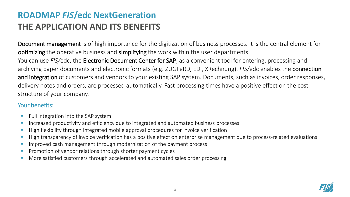## **ROADMAP** *FIS***/edc NextGeneration THE APPLICATION AND ITS BENEFITS**

Document management is of high importance for the digitization of business processes. It is the central element for optimizing the operative business and simplifying the work within the user departments.

You can use *FIS/*edc, the Electronic Document Center for SAP, as a convenient tool for entering, processing and archiving paper documents and electronic formats (e.g. ZUGFeRD, EDI, XRechnung). *FIS/*edc enables the connection and integration of customers and vendors to your existing SAP system. Documents, such as invoices, order responses, delivery notes and orders, are processed automatically. Fast processing times have a positive effect on the cost structure of your company.

#### Your benefits:

- Full integration into the SAP system
- **E** Increased productivity and efficiency due to integrated and automated business processes
- High flexibility through integrated mobile approval procedures for invoice verification
- High transparency of invoice verification has a positive effect on enterprise management due to process-related evaluations
- **■** Improved cash management through modernization of the payment process
- **•** Promotion of vendor relations through shorter payment cycles
- More satisfied customers through accelerated and automated sales order processing

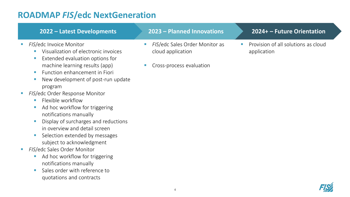#### *FIS/edc Invoice Monitor* ■ Visualization of electronic invoices ■ Extended evaluation options for machine learning results (app) **EXECUTE:** Function enhancement in Fiori **EXA** *FIS*/edc Sales Order Monitor as cloud application Cross-process evaluation application **2022 – Latest Developments 2023 – Planned Innovations**

- **E** New development of post-run update program
- **E** *FIS*/edc Order Response Monitor
	- **EXIBLE WORKFLOW**
	- Ad hoc workflow for triggering notifications manually
	- **E** Display of surcharges and reductions in overview and detail screen
	- Selection extended by messages subject to acknowledgment
- **FIS/edc Sales Order Monitor** 
	- Ad hoc workflow for triggering notifications manually
	- Sales order with reference to quotations and contracts

#### **2024+ – Future Orientation**

Provision of all solutions as cloud

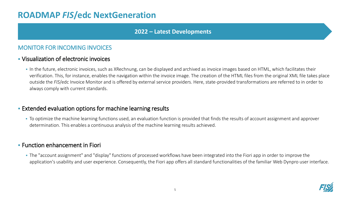#### **2022 – Latest Developments**

#### MONITOR FOR INCOMING INVOICES

#### ▪ Visualization of electronic invoices

**IF In the future, electronic invoices, such as XRechnung, can be displayed and archived as invoice images based on HTML, which facilitates their** verification. This, for instance, enables the navigation within the invoice image. The creation of the HTML files from the original XML file takes place outside the *FIS*/edc Invoice Monitor and is offered by external service providers. Here, state-provided transformations are referred to in order to always comply with current standards.

#### **Extended evaluation options for machine learning results**

• To optimize the machine learning functions used, an evaluation function is provided that finds the results of account assignment and approver determination. This enables a continuous analysis of the machine learning results achieved.

#### **EXECTED** Enhancement in Fiori

**The "account assignment" and "display" functions of processed workflows have been integrated into the Fiori app in order to improve the** application's usability and user experience. Consequently, the Fiori app offers all standard functionalities of the familiar Web Dynpro user interface.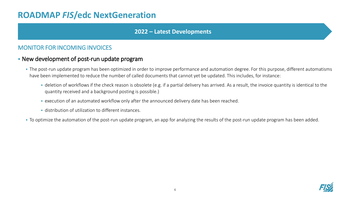#### **2022 – Latest Developments**

#### MONITOR FOR INCOMING INVOICES

#### **EXECT:** New development of post-run update program

- The post-run update program has been optimized in order to improve performance and automation degree. For this purpose, different automatisms have been implemented to reduce the number of called documents that cannot yet be updated. This includes, for instance:
	- **•** deletion of workflows if the check reason is obsolete (e.g. if a partial delivery has arrived. As a result, the invoice quantity is identical to the quantity received and a background posting is possible.)
	- **EXECUTED 10 FOR 2018 THE ANN IN EXECUTED IN A** execution of an automated workflow only after the announced delivery date has been reached.
	- distribution of utilization to different instances.
- To optimize the automation of the post-run update program, an app for analyzing the results of the post-run update program has been added.

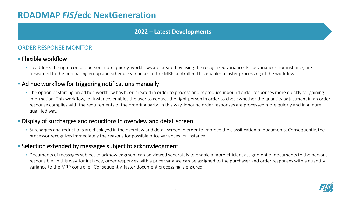#### **2022 – Latest Developments**

#### ORDER RESPONSE MONITOR

#### ▪ Flexible workflow

• To address the right contact person more quickly, workflows are created by using the recognized variance. Price variances, for instance, are forwarded to the purchasing group and schedule variances to the MRP controller. This enables a faster processing of the workflow.

#### **• Ad hoc workflow for triggering notifications manually**

• The option of starting an ad hoc workflow has been created in order to process and reproduce inbound order responses more quickly for gaining information. This workflow, for instance, enables the user to contact the right person in order to check whether the quantity adjustment in an order response complies with the requirements of the ordering party. In this way, inbound order responses are processed more quickly and in a more qualified way.

#### **EX Display of surcharges and reductions in overview and detail screen**

▪ Surcharges and reductions are displayed in the overview and detail screen in order to improve the classification of documents. Consequently, the processor recognizes immediately the reasons for possible price variances for instance.

#### **EXE** Selection extended by messages subject to acknowledgment

▪ Documents of messages subject to acknowledgment can be viewed separately to enable a more efficient assignment of documents to the persons responsible. In this way, for instance, order responses with a price variance can be assigned to the purchaser and order responses with a quantity variance to the MRP controller. Consequently, faster document processing is ensured.

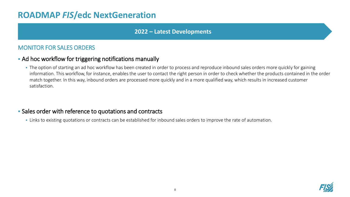#### **2022 – Latest Developments**

#### MONITOR FOR SALES ORDERS

#### **• Ad hoc workflow for triggering notifications manually**

• The option of starting an ad hoc workflow has been created in order to process and reproduce inbound sales orders more quickly for gaining information. This workflow, for instance, enables the user to contact the right person in order to check whether the products contained in the order match together. In this way, inbound orders are processed more quickly and in a more qualified way, which results in increased customer satisfaction.

#### ▪ Sales order with reference to quotations and contracts

• Links to existing quotations or contracts can be established for inbound sales orders to improve the rate of automation.

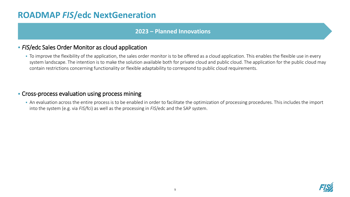#### **2023 – Planned Innovations**

#### **FIS/edc Sales Order Monitor as cloud application**

▪ To improve the flexibility of the application, the sales order monitor is to be offered as a cloud application. This enables the flexible use in every system landscape. The intention is to make the solution available both for private cloud and public cloud. The application for the public cloud may contain restrictions concerning functionality or flexible adaptability to correspond to public cloud requirements.

#### **• Cross-process evaluation using process mining**

■ An evaluation across the entire process is to be enabled in order to facilitate the optimization of processing procedures. This includes the import into the system (e.g. via *FIS*/fci) as well as the processing in *FIS*/edc and the SAP system.

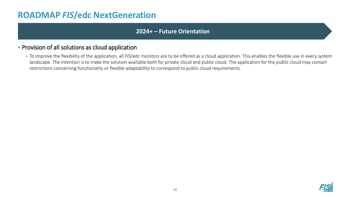#### **2024+ – Future Orientation**

#### **• Provision of all solutions as cloud application**

▪ To improve the flexibility of the application, all *FIS*/edc monitors are to be offered as a cloud application. This enables the flexible use in every system landscape. The intention is to make the solution available both for private cloud and public cloud. The application for the public cloud may contain restrictions concerning functionality or flexible adaptability to correspond to public cloud requirements.